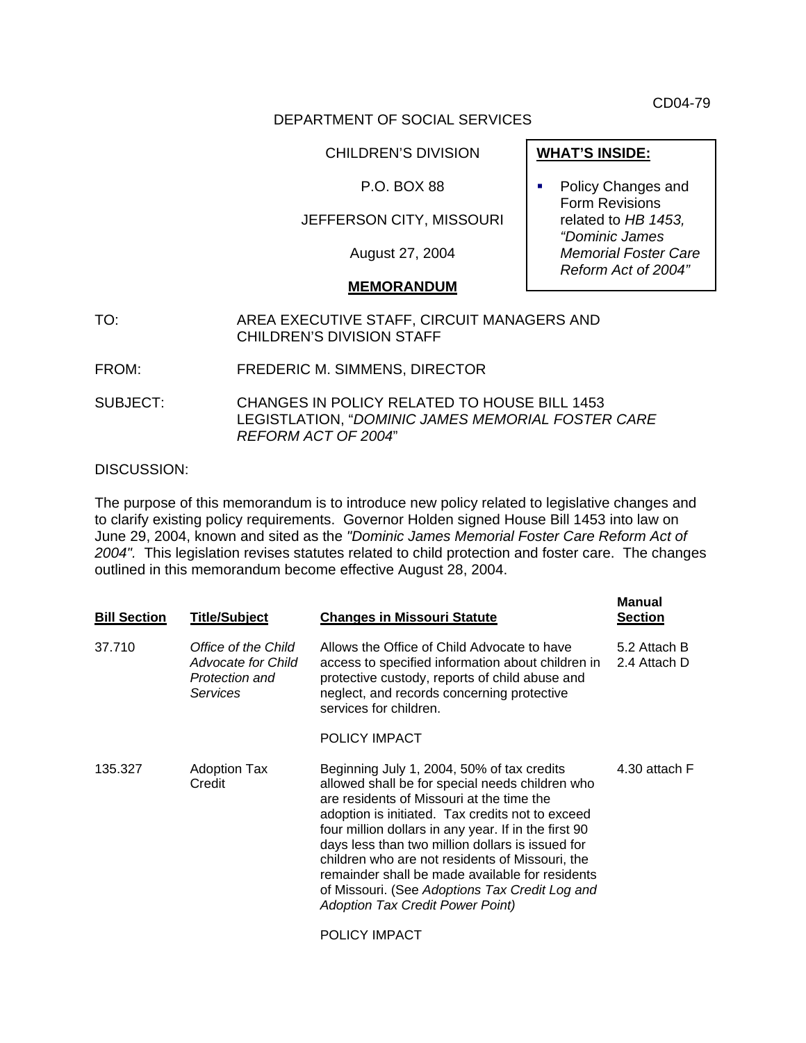CD04-79

### DEPARTMENT OF SOCIAL SERVICES

#### CHILDREN'S DIVISION

### P.O. BOX 88

### JEFFERSON CITY, MISSOURI

August 27, 2004

#### **MEMORANDUM**

- TO: AREA EXECUTIVE STAFF, CIRCUIT MANAGERS AND CHILDREN'S DIVISION STAFF
- FROM: FREDERIC M. SIMMENS, DIRECTOR
- SUBJECT: CHANGES IN POLICY RELATED TO HOUSE BILL 1453 LEGISTLATION, "*DOMINIC JAMES MEMORIAL FOSTER CARE REFORM ACT OF 2004*"

#### DISCUSSION:

The purpose of this memorandum is to introduce new policy related to legislative changes and to clarify existing policy requirements. Governor Holden signed House Bill 1453 into law on June 29, 2004, known and sited as the *"Dominic James Memorial Foster Care Reform Act of 2004".* This legislation revises statutes related to child protection and foster care. The changes outlined in this memorandum become effective August 28, 2004.

| <b>Bill Section</b> | <b>Title/Subject</b>                                                           | <b>Changes in Missouri Statute</b>                                                                                                                                                                                                                                                                                                                                                                                                                                                                            | <b>Manual</b><br><b>Section</b> |
|---------------------|--------------------------------------------------------------------------------|---------------------------------------------------------------------------------------------------------------------------------------------------------------------------------------------------------------------------------------------------------------------------------------------------------------------------------------------------------------------------------------------------------------------------------------------------------------------------------------------------------------|---------------------------------|
| 37.710              | Office of the Child<br>Advocate for Child<br>Protection and<br><b>Services</b> | Allows the Office of Child Advocate to have<br>access to specified information about children in<br>protective custody, reports of child abuse and<br>neglect, and records concerning protective<br>services for children.                                                                                                                                                                                                                                                                                    | 5.2 Attach B<br>2.4 Attach D    |
|                     |                                                                                | POLICY IMPACT                                                                                                                                                                                                                                                                                                                                                                                                                                                                                                 |                                 |
| 135.327             | <b>Adoption Tax</b><br>Credit                                                  | Beginning July 1, 2004, 50% of tax credits<br>allowed shall be for special needs children who<br>are residents of Missouri at the time the<br>adoption is initiated. Tax credits not to exceed<br>four million dollars in any year. If in the first 90<br>days less than two million dollars is issued for<br>children who are not residents of Missouri, the<br>remainder shall be made available for residents<br>of Missouri. (See Adoptions Tax Credit Log and<br><b>Adoption Tax Credit Power Point)</b> | 4.30 attach F                   |
|                     |                                                                                | POLICY IMPACT                                                                                                                                                                                                                                                                                                                                                                                                                                                                                                 |                                 |

**WHAT'S INSIDE:**

• Policy Changes and Form Revisions related to *HB 1453, "Dominic James Memorial Foster Care Reform Act of 2004"*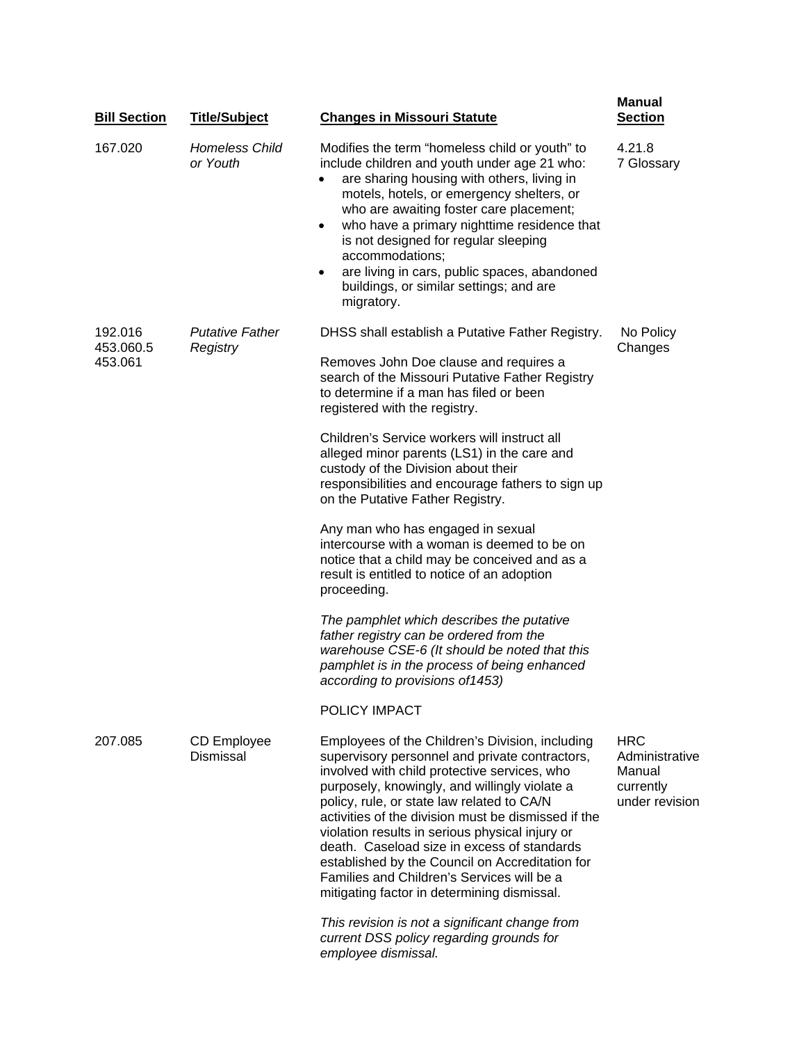| <b>Bill Section</b>             | <b>Title/Subject</b>               | <b>Changes in Missouri Statute</b>                                                                                                                                                                                                                                                                                                                                                                                                                                                                                                                        | <b>Manual</b><br><b>Section</b>                                       |
|---------------------------------|------------------------------------|-----------------------------------------------------------------------------------------------------------------------------------------------------------------------------------------------------------------------------------------------------------------------------------------------------------------------------------------------------------------------------------------------------------------------------------------------------------------------------------------------------------------------------------------------------------|-----------------------------------------------------------------------|
| 167.020                         | <b>Homeless Child</b><br>or Youth  | Modifies the term "homeless child or youth" to<br>include children and youth under age 21 who:<br>are sharing housing with others, living in<br>motels, hotels, or emergency shelters, or<br>who are awaiting foster care placement;<br>who have a primary nighttime residence that<br>$\bullet$<br>is not designed for regular sleeping<br>accommodations;<br>are living in cars, public spaces, abandoned<br>$\bullet$<br>buildings, or similar settings; and are<br>migratory.                                                                         | 4.21.8<br>7 Glossary                                                  |
| 192.016<br>453.060.5<br>453.061 | <b>Putative Father</b><br>Registry | DHSS shall establish a Putative Father Registry.<br>Removes John Doe clause and requires a<br>search of the Missouri Putative Father Registry<br>to determine if a man has filed or been<br>registered with the registry.                                                                                                                                                                                                                                                                                                                                 | No Policy<br>Changes                                                  |
|                                 |                                    | Children's Service workers will instruct all<br>alleged minor parents (LS1) in the care and<br>custody of the Division about their<br>responsibilities and encourage fathers to sign up<br>on the Putative Father Registry.                                                                                                                                                                                                                                                                                                                               |                                                                       |
|                                 |                                    | Any man who has engaged in sexual<br>intercourse with a woman is deemed to be on<br>notice that a child may be conceived and as a<br>result is entitled to notice of an adoption<br>proceeding.                                                                                                                                                                                                                                                                                                                                                           |                                                                       |
|                                 |                                    | The pamphlet which describes the putative<br>father registry can be ordered from the<br>warehouse CSE-6 (It should be noted that this<br>pamphlet is in the process of being enhanced<br>according to provisions of 1453)                                                                                                                                                                                                                                                                                                                                 |                                                                       |
|                                 |                                    | POLICY IMPACT                                                                                                                                                                                                                                                                                                                                                                                                                                                                                                                                             |                                                                       |
| 207.085                         | CD Employee<br><b>Dismissal</b>    | Employees of the Children's Division, including<br>supervisory personnel and private contractors,<br>involved with child protective services, who<br>purposely, knowingly, and willingly violate a<br>policy, rule, or state law related to CA/N<br>activities of the division must be dismissed if the<br>violation results in serious physical injury or<br>death. Caseload size in excess of standards<br>established by the Council on Accreditation for<br>Families and Children's Services will be a<br>mitigating factor in determining dismissal. | <b>HRC</b><br>Administrative<br>Manual<br>currently<br>under revision |
|                                 |                                    | This revision is not a significant change from<br>current DSS policy regarding grounds for<br>employee dismissal.                                                                                                                                                                                                                                                                                                                                                                                                                                         |                                                                       |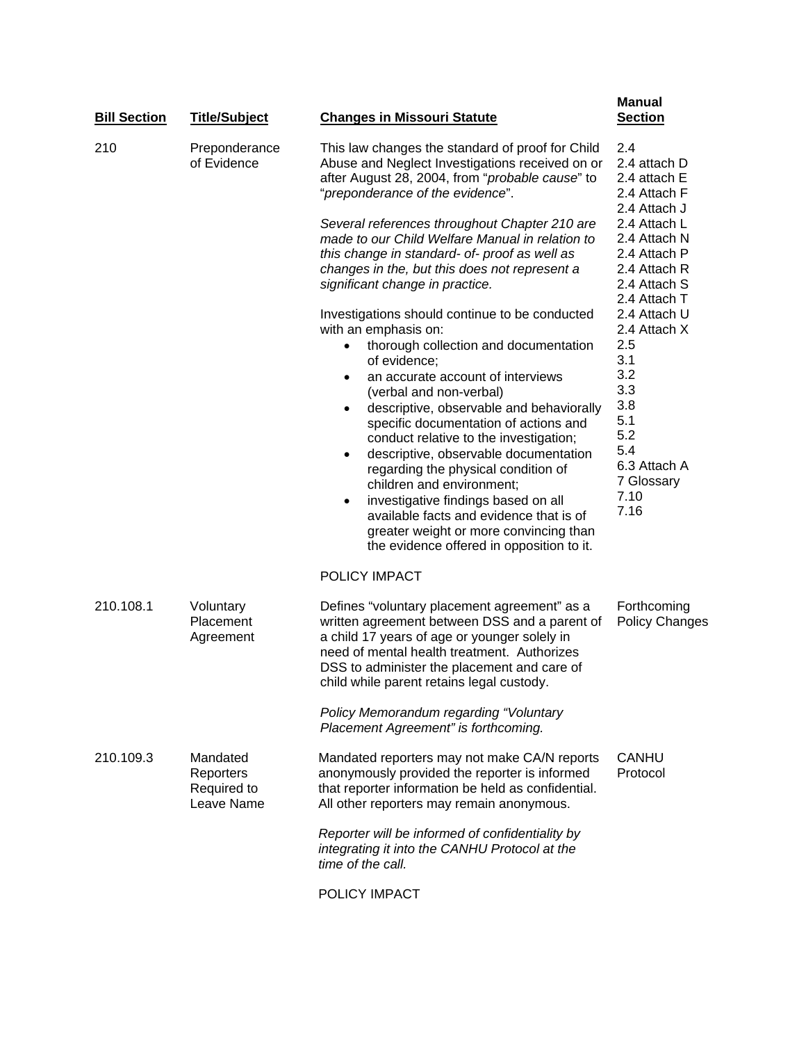| <b>Bill Section</b> | <b>Title/Subject</b>                               | <b>Changes in Missouri Statute</b>                                                                                                                                                                                                                                                                                                                                                                                                                                                                                                                                                                                                                                            | <b>Manual</b><br><b>Section</b>                                                                                                                                                                                                    |
|---------------------|----------------------------------------------------|-------------------------------------------------------------------------------------------------------------------------------------------------------------------------------------------------------------------------------------------------------------------------------------------------------------------------------------------------------------------------------------------------------------------------------------------------------------------------------------------------------------------------------------------------------------------------------------------------------------------------------------------------------------------------------|------------------------------------------------------------------------------------------------------------------------------------------------------------------------------------------------------------------------------------|
| 210                 | Preponderance<br>of Evidence                       | This law changes the standard of proof for Child<br>Abuse and Neglect Investigations received on or<br>after August 28, 2004, from "probable cause" to<br>"preponderance of the evidence".                                                                                                                                                                                                                                                                                                                                                                                                                                                                                    | 2.4<br>2.4 attach D<br>2.4 attach E<br>2.4 Attach F<br>2.4 Attach J                                                                                                                                                                |
|                     |                                                    | Several references throughout Chapter 210 are<br>made to our Child Welfare Manual in relation to<br>this change in standard- of- proof as well as<br>changes in the, but this does not represent a<br>significant change in practice.                                                                                                                                                                                                                                                                                                                                                                                                                                         | 2.4 Attach L<br>2.4 Attach N<br>2.4 Attach P<br>2.4 Attach R<br>2.4 Attach S<br>2.4 Attach T<br>2.4 Attach U<br>2.4 Attach X<br>2.5<br>3.1<br>3.2<br>3.3<br>3.8<br>5.1<br>5.2<br>5.4<br>6.3 Attach A<br>7 Glossary<br>7.10<br>7.16 |
|                     |                                                    | Investigations should continue to be conducted<br>with an emphasis on:<br>thorough collection and documentation<br>$\bullet$<br>of evidence;<br>an accurate account of interviews<br>$\bullet$<br>(verbal and non-verbal)<br>descriptive, observable and behaviorally<br>٠<br>specific documentation of actions and<br>conduct relative to the investigation;<br>descriptive, observable documentation<br>$\bullet$<br>regarding the physical condition of<br>children and environment;<br>investigative findings based on all<br>$\bullet$<br>available facts and evidence that is of<br>greater weight or more convincing than<br>the evidence offered in opposition to it. |                                                                                                                                                                                                                                    |
|                     |                                                    | POLICY IMPACT                                                                                                                                                                                                                                                                                                                                                                                                                                                                                                                                                                                                                                                                 |                                                                                                                                                                                                                                    |
| 210.108.1           | Voluntary<br>Placement<br>Agreement                | Defines "voluntary placement agreement" as a<br>written agreement between DSS and a parent of<br>a child 17 years of age or younger solely in<br>need of mental health treatment. Authorizes<br>DSS to administer the placement and care of<br>child while parent retains legal custody.                                                                                                                                                                                                                                                                                                                                                                                      | Forthcoming<br><b>Policy Changes</b>                                                                                                                                                                                               |
|                     |                                                    | Policy Memorandum regarding "Voluntary<br>Placement Agreement" is forthcoming.                                                                                                                                                                                                                                                                                                                                                                                                                                                                                                                                                                                                |                                                                                                                                                                                                                                    |
| 210.109.3           | Mandated<br>Reporters<br>Required to<br>Leave Name | Mandated reporters may not make CA/N reports<br>anonymously provided the reporter is informed<br>that reporter information be held as confidential.<br>All other reporters may remain anonymous.                                                                                                                                                                                                                                                                                                                                                                                                                                                                              | <b>CANHU</b><br>Protocol                                                                                                                                                                                                           |
|                     |                                                    | Reporter will be informed of confidentiality by<br>integrating it into the CANHU Protocol at the<br>time of the call.                                                                                                                                                                                                                                                                                                                                                                                                                                                                                                                                                         |                                                                                                                                                                                                                                    |
|                     |                                                    | POLICY IMPACT                                                                                                                                                                                                                                                                                                                                                                                                                                                                                                                                                                                                                                                                 |                                                                                                                                                                                                                                    |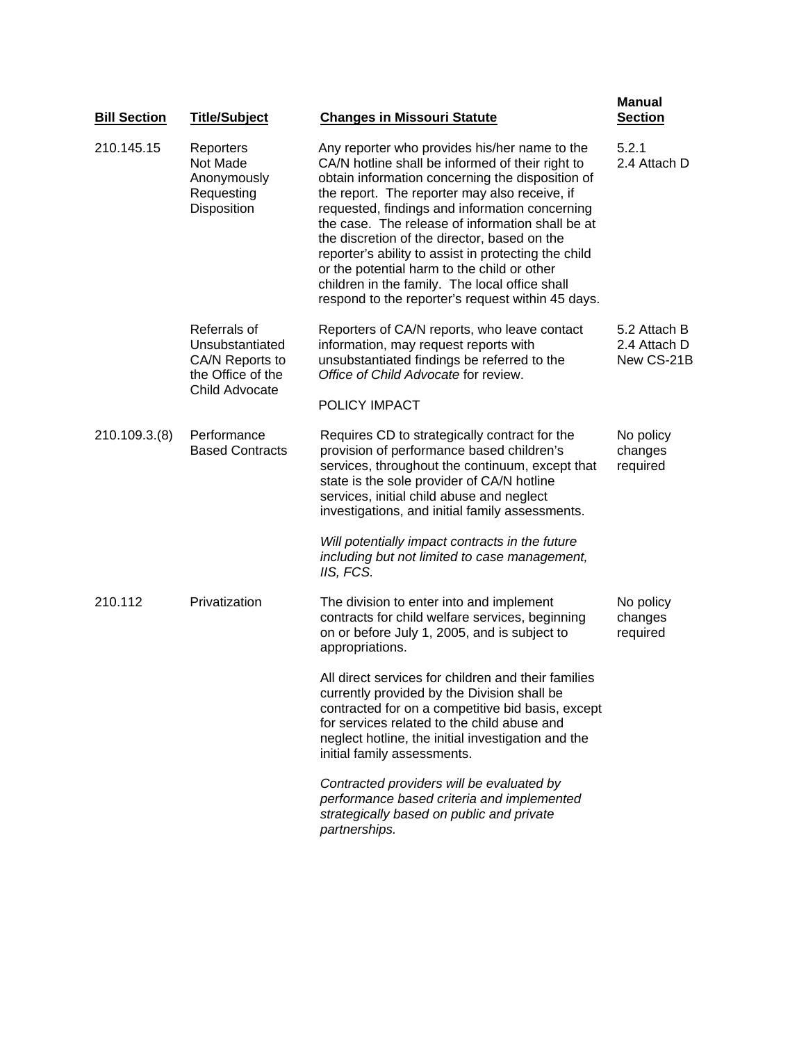| <b>Bill Section</b> | <b>Title/Subject</b>                                                                      | <b>Changes in Missouri Statute</b>                                                                                                                                                                                                                                                                                                                                                                                                                                                                                                                                         | <b>Manual</b><br><b>Section</b>            |
|---------------------|-------------------------------------------------------------------------------------------|----------------------------------------------------------------------------------------------------------------------------------------------------------------------------------------------------------------------------------------------------------------------------------------------------------------------------------------------------------------------------------------------------------------------------------------------------------------------------------------------------------------------------------------------------------------------------|--------------------------------------------|
| 210.145.15          | Reporters<br>Not Made<br>Anonymously<br>Requesting<br>Disposition                         | Any reporter who provides his/her name to the<br>CA/N hotline shall be informed of their right to<br>obtain information concerning the disposition of<br>the report. The reporter may also receive, if<br>requested, findings and information concerning<br>the case. The release of information shall be at<br>the discretion of the director, based on the<br>reporter's ability to assist in protecting the child<br>or the potential harm to the child or other<br>children in the family. The local office shall<br>respond to the reporter's request within 45 days. | 5.2.1<br>2.4 Attach D                      |
|                     | Referrals of<br>Unsubstantiated<br>CA/N Reports to<br>the Office of the<br>Child Advocate | Reporters of CA/N reports, who leave contact<br>information, may request reports with<br>unsubstantiated findings be referred to the<br>Office of Child Advocate for review.<br>POLICY IMPACT                                                                                                                                                                                                                                                                                                                                                                              | 5.2 Attach B<br>2.4 Attach D<br>New CS-21B |
| 210.109.3.(8)       | Performance<br><b>Based Contracts</b>                                                     | Requires CD to strategically contract for the<br>provision of performance based children's<br>services, throughout the continuum, except that<br>state is the sole provider of CA/N hotline<br>services, initial child abuse and neglect<br>investigations, and initial family assessments.                                                                                                                                                                                                                                                                                | No policy<br>changes<br>required           |
|                     |                                                                                           | Will potentially impact contracts in the future<br>including but not limited to case management,<br>IIS, FCS.                                                                                                                                                                                                                                                                                                                                                                                                                                                              |                                            |
| 210.112             | Privatization                                                                             | The division to enter into and implement<br>contracts for child welfare services, beginning<br>on or before July 1, 2005, and is subject to<br>appropriations.                                                                                                                                                                                                                                                                                                                                                                                                             | No policy<br>changes<br>required           |
|                     |                                                                                           | All direct services for children and their families<br>currently provided by the Division shall be<br>contracted for on a competitive bid basis, except<br>for services related to the child abuse and<br>neglect hotline, the initial investigation and the<br>initial family assessments.                                                                                                                                                                                                                                                                                |                                            |
|                     |                                                                                           | Contracted providers will be evaluated by<br>performance based criteria and implemented<br>strategically based on public and private<br>partnerships.                                                                                                                                                                                                                                                                                                                                                                                                                      |                                            |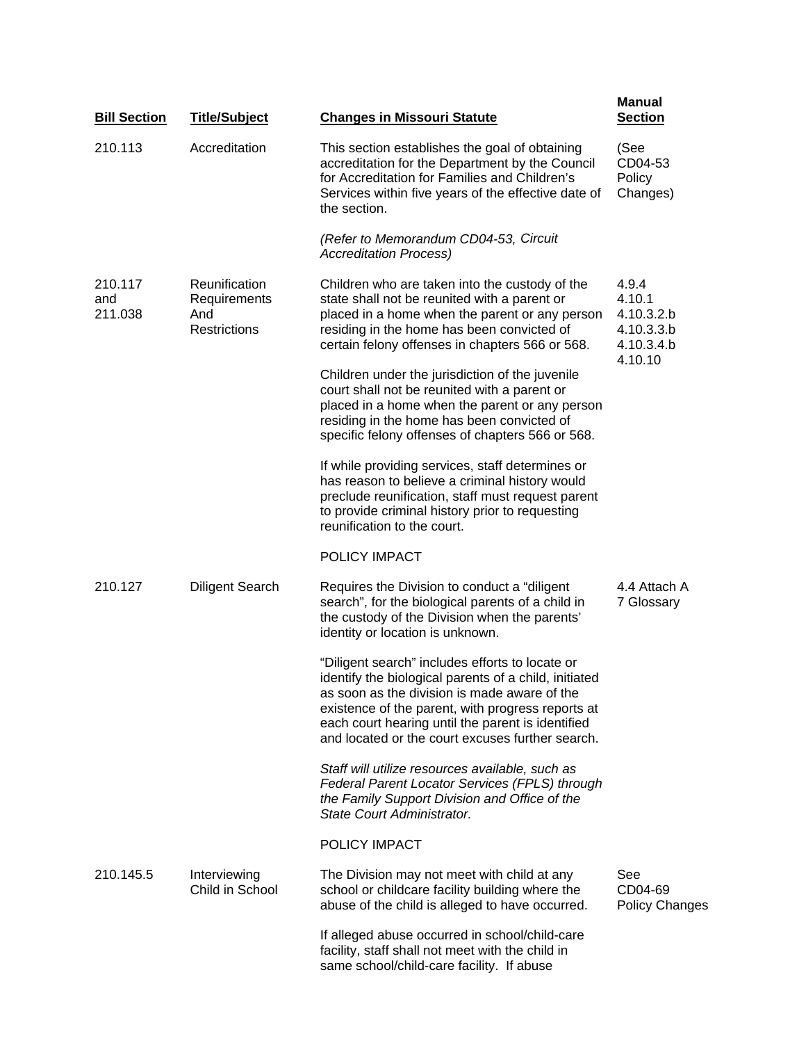| <b>Bill Section</b>       | <b>Title/Subject</b>                                        | <b>Changes in Missouri Statute</b>                                                                                                                                                                                                                                                                                     | <b>Manual</b><br><b>Section</b>                                      |
|---------------------------|-------------------------------------------------------------|------------------------------------------------------------------------------------------------------------------------------------------------------------------------------------------------------------------------------------------------------------------------------------------------------------------------|----------------------------------------------------------------------|
| 210.113                   | Accreditation                                               | This section establishes the goal of obtaining<br>accreditation for the Department by the Council<br>for Accreditation for Families and Children's<br>Services within five years of the effective date of<br>the section.                                                                                              | (See<br>CD04-53<br>Policy<br>Changes)                                |
|                           |                                                             | (Refer to Memorandum CD04-53, Circuit<br><b>Accreditation Process)</b>                                                                                                                                                                                                                                                 |                                                                      |
| 210.117<br>and<br>211.038 | Reunification<br>Requirements<br>And<br><b>Restrictions</b> | Children who are taken into the custody of the<br>state shall not be reunited with a parent or<br>placed in a home when the parent or any person<br>residing in the home has been convicted of<br>certain felony offenses in chapters 566 or 568.                                                                      | 4.9.4<br>4.10.1<br>4.10.3.2.b<br>4.10.3.3.b<br>4.10.3.4.b<br>4.10.10 |
|                           |                                                             | Children under the jurisdiction of the juvenile<br>court shall not be reunited with a parent or<br>placed in a home when the parent or any person<br>residing in the home has been convicted of<br>specific felony offenses of chapters 566 or 568.                                                                    |                                                                      |
|                           |                                                             | If while providing services, staff determines or<br>has reason to believe a criminal history would<br>preclude reunification, staff must request parent<br>to provide criminal history prior to requesting<br>reunification to the court.                                                                              |                                                                      |
|                           |                                                             | POLICY IMPACT                                                                                                                                                                                                                                                                                                          |                                                                      |
| 210.127                   | <b>Diligent Search</b>                                      | Requires the Division to conduct a "diligent"<br>search", for the biological parents of a child in<br>the custody of the Division when the parents'<br>identity or location is unknown.                                                                                                                                | 4.4 Attach A<br>7 Glossary                                           |
|                           |                                                             | "Diligent search" includes efforts to locate or<br>identify the biological parents of a child, initiated<br>as soon as the division is made aware of the<br>existence of the parent, with progress reports at<br>each court hearing until the parent is identified<br>and located or the court excuses further search. |                                                                      |
|                           |                                                             | Staff will utilize resources available, such as<br>Federal Parent Locator Services (FPLS) through<br>the Family Support Division and Office of the<br>State Court Administrator.                                                                                                                                       |                                                                      |
|                           |                                                             | POLICY IMPACT                                                                                                                                                                                                                                                                                                          |                                                                      |
| 210.145.5                 | Interviewing<br>Child in School                             | The Division may not meet with child at any<br>school or childcare facility building where the<br>abuse of the child is alleged to have occurred.                                                                                                                                                                      | See<br>CD04-69<br><b>Policy Changes</b>                              |
|                           |                                                             | If alleged abuse occurred in school/child-care<br>facility, staff shall not meet with the child in<br>same school/child-care facility. If abuse                                                                                                                                                                        |                                                                      |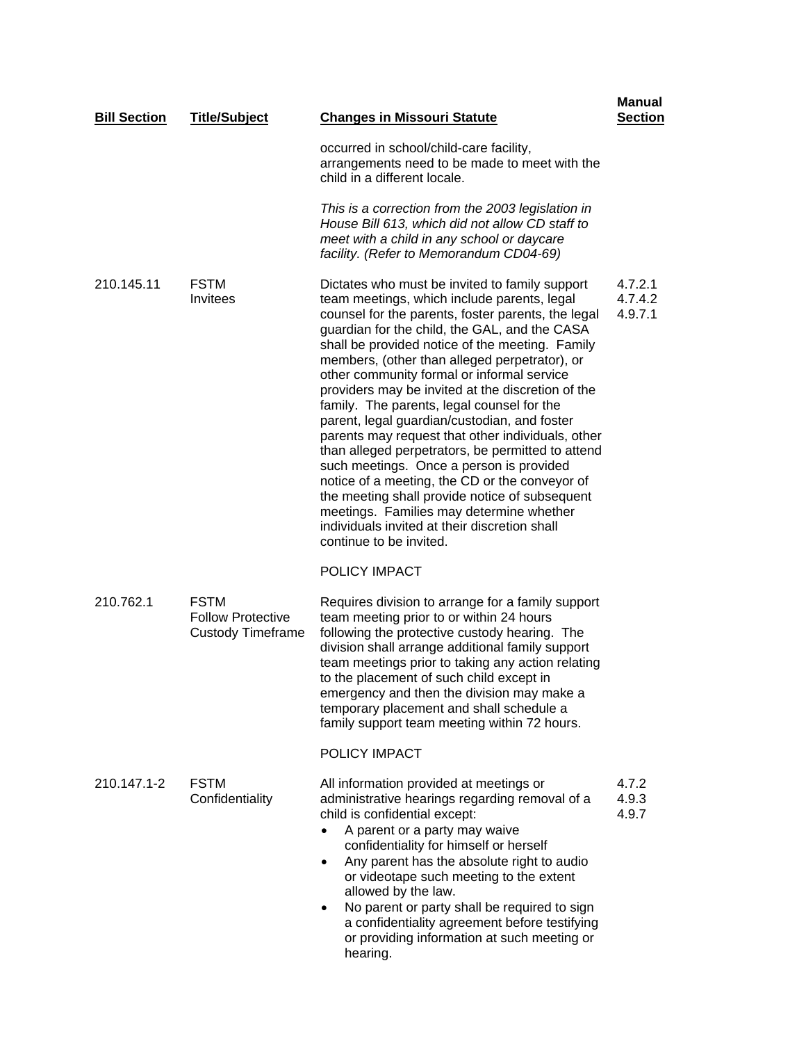| <b>Bill Section</b> | <b>Title/Subject</b>                                                | <b>Changes in Missouri Statute</b>                                                                                                                                                                                                                                                                                                                                                                                                                                                                                                                                                                                                                                                                                                                                                                                                                                                          | Manual<br><b>Section</b>      |
|---------------------|---------------------------------------------------------------------|---------------------------------------------------------------------------------------------------------------------------------------------------------------------------------------------------------------------------------------------------------------------------------------------------------------------------------------------------------------------------------------------------------------------------------------------------------------------------------------------------------------------------------------------------------------------------------------------------------------------------------------------------------------------------------------------------------------------------------------------------------------------------------------------------------------------------------------------------------------------------------------------|-------------------------------|
|                     |                                                                     | occurred in school/child-care facility,<br>arrangements need to be made to meet with the<br>child in a different locale.                                                                                                                                                                                                                                                                                                                                                                                                                                                                                                                                                                                                                                                                                                                                                                    |                               |
|                     |                                                                     | This is a correction from the 2003 legislation in<br>House Bill 613, which did not allow CD staff to<br>meet with a child in any school or daycare<br>facility. (Refer to Memorandum CD04-69)                                                                                                                                                                                                                                                                                                                                                                                                                                                                                                                                                                                                                                                                                               |                               |
| 210.145.11          | <b>FSTM</b><br>Invitees                                             | Dictates who must be invited to family support<br>team meetings, which include parents, legal<br>counsel for the parents, foster parents, the legal<br>guardian for the child, the GAL, and the CASA<br>shall be provided notice of the meeting. Family<br>members, (other than alleged perpetrator), or<br>other community formal or informal service<br>providers may be invited at the discretion of the<br>family. The parents, legal counsel for the<br>parent, legal guardian/custodian, and foster<br>parents may request that other individuals, other<br>than alleged perpetrators, be permitted to attend<br>such meetings. Once a person is provided<br>notice of a meeting, the CD or the conveyor of<br>the meeting shall provide notice of subsequent<br>meetings. Families may determine whether<br>individuals invited at their discretion shall<br>continue to be invited. | 4.7.2.1<br>4.7.4.2<br>4.9.7.1 |
|                     |                                                                     | POLICY IMPACT                                                                                                                                                                                                                                                                                                                                                                                                                                                                                                                                                                                                                                                                                                                                                                                                                                                                               |                               |
| 210.762.1           | <b>FSTM</b><br><b>Follow Protective</b><br><b>Custody Timeframe</b> | Requires division to arrange for a family support<br>team meeting prior to or within 24 hours<br>following the protective custody hearing. The<br>division shall arrange additional family support<br>team meetings prior to taking any action relating<br>to the placement of such child except in<br>emergency and then the division may make a<br>temporary placement and shall schedule a<br>family support team meeting within 72 hours.                                                                                                                                                                                                                                                                                                                                                                                                                                               |                               |
|                     |                                                                     | POLICY IMPACT                                                                                                                                                                                                                                                                                                                                                                                                                                                                                                                                                                                                                                                                                                                                                                                                                                                                               |                               |
| 210.147.1-2         | <b>FSTM</b><br>Confidentiality                                      | All information provided at meetings or<br>administrative hearings regarding removal of a<br>child is confidential except:<br>A parent or a party may waive<br>$\bullet$<br>confidentiality for himself or herself<br>Any parent has the absolute right to audio<br>$\bullet$<br>or videotape such meeting to the extent<br>allowed by the law.<br>No parent or party shall be required to sign<br>a confidentiality agreement before testifying<br>or providing information at such meeting or<br>hearing.                                                                                                                                                                                                                                                                                                                                                                                 | 4.7.2<br>4.9.3<br>4.9.7       |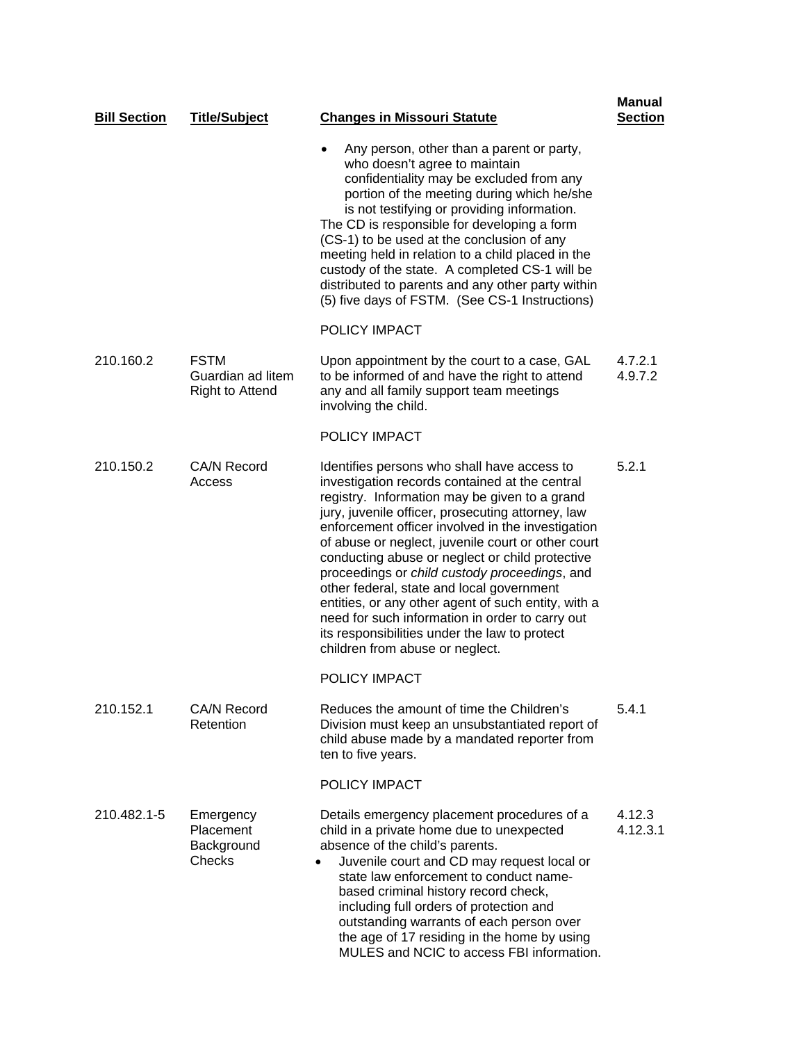| <b>Bill Section</b> | <b>Title/Subject</b>                                       | <b>Changes in Missouri Statute</b>                                                                                                                                                                                                                                                                                                                                                                                                                                                                                                                                                                                                                            | Manual<br><b>Section</b> |
|---------------------|------------------------------------------------------------|---------------------------------------------------------------------------------------------------------------------------------------------------------------------------------------------------------------------------------------------------------------------------------------------------------------------------------------------------------------------------------------------------------------------------------------------------------------------------------------------------------------------------------------------------------------------------------------------------------------------------------------------------------------|--------------------------|
|                     |                                                            | Any person, other than a parent or party,<br>$\bullet$<br>who doesn't agree to maintain<br>confidentiality may be excluded from any<br>portion of the meeting during which he/she<br>is not testifying or providing information.<br>The CD is responsible for developing a form<br>(CS-1) to be used at the conclusion of any<br>meeting held in relation to a child placed in the<br>custody of the state. A completed CS-1 will be<br>distributed to parents and any other party within<br>(5) five days of FSTM. (See CS-1 Instructions)                                                                                                                   |                          |
|                     |                                                            | POLICY IMPACT                                                                                                                                                                                                                                                                                                                                                                                                                                                                                                                                                                                                                                                 |                          |
| 210.160.2           | <b>FSTM</b><br>Guardian ad litem<br><b>Right to Attend</b> | Upon appointment by the court to a case, GAL<br>to be informed of and have the right to attend<br>any and all family support team meetings<br>involving the child.                                                                                                                                                                                                                                                                                                                                                                                                                                                                                            | 4.7.2.1<br>4.9.7.2       |
|                     |                                                            | POLICY IMPACT                                                                                                                                                                                                                                                                                                                                                                                                                                                                                                                                                                                                                                                 |                          |
| 210.150.2           | <b>CA/N Record</b><br>Access                               | Identifies persons who shall have access to<br>investigation records contained at the central<br>registry. Information may be given to a grand<br>jury, juvenile officer, prosecuting attorney, law<br>enforcement officer involved in the investigation<br>of abuse or neglect, juvenile court or other court<br>conducting abuse or neglect or child protective<br>proceedings or child custody proceedings, and<br>other federal, state and local government<br>entities, or any other agent of such entity, with a<br>need for such information in order to carry out<br>its responsibilities under the law to protect<br>children from abuse or neglect. | 5.2.1                    |
|                     |                                                            | POLICY IMPACT                                                                                                                                                                                                                                                                                                                                                                                                                                                                                                                                                                                                                                                 |                          |
| 210.152.1           | CA/N Record<br>Retention                                   | Reduces the amount of time the Children's<br>Division must keep an unsubstantiated report of<br>child abuse made by a mandated reporter from<br>ten to five years.                                                                                                                                                                                                                                                                                                                                                                                                                                                                                            | 5.4.1                    |
|                     |                                                            | POLICY IMPACT                                                                                                                                                                                                                                                                                                                                                                                                                                                                                                                                                                                                                                                 |                          |
| 210.482.1-5         | Emergency<br>Placement<br>Background<br>Checks             | Details emergency placement procedures of a<br>child in a private home due to unexpected<br>absence of the child's parents.<br>Juvenile court and CD may request local or<br>$\bullet$<br>state law enforcement to conduct name-<br>based criminal history record check,<br>including full orders of protection and<br>outstanding warrants of each person over<br>the age of 17 residing in the home by using<br>MULES and NCIC to access FBI information.                                                                                                                                                                                                   | 4.12.3<br>4.12.3.1       |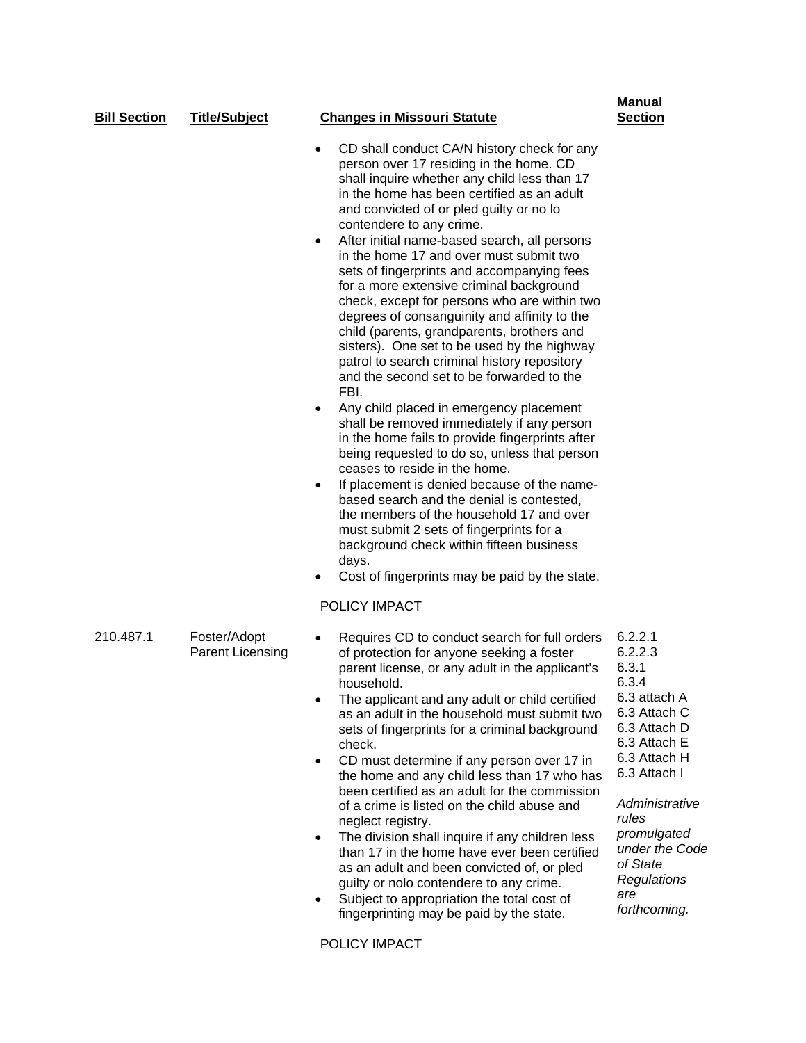| <b>Bill Section</b> | <b>Title/Subject</b>                    | <b>Changes in Missouri Statute</b>                                                                                                                                                                                                                                                                                                                                                                                                                                                                                                                                                                                                                                                                                                                                                                                                                                                                                                                                                                                                                                                                                                                                                                                                                                                                                                       | <b>Manual</b><br><b>Section</b>                                                                                                                                                                                                                    |
|---------------------|-----------------------------------------|------------------------------------------------------------------------------------------------------------------------------------------------------------------------------------------------------------------------------------------------------------------------------------------------------------------------------------------------------------------------------------------------------------------------------------------------------------------------------------------------------------------------------------------------------------------------------------------------------------------------------------------------------------------------------------------------------------------------------------------------------------------------------------------------------------------------------------------------------------------------------------------------------------------------------------------------------------------------------------------------------------------------------------------------------------------------------------------------------------------------------------------------------------------------------------------------------------------------------------------------------------------------------------------------------------------------------------------|----------------------------------------------------------------------------------------------------------------------------------------------------------------------------------------------------------------------------------------------------|
|                     |                                         | CD shall conduct CA/N history check for any<br>$\bullet$<br>person over 17 residing in the home. CD<br>shall inquire whether any child less than 17<br>in the home has been certified as an adult<br>and convicted of or pled guilty or no lo<br>contendere to any crime.<br>After initial name-based search, all persons<br>٠<br>in the home 17 and over must submit two<br>sets of fingerprints and accompanying fees<br>for a more extensive criminal background<br>check, except for persons who are within two<br>degrees of consanguinity and affinity to the<br>child (parents, grandparents, brothers and<br>sisters). One set to be used by the highway<br>patrol to search criminal history repository<br>and the second set to be forwarded to the<br>FBI.<br>Any child placed in emergency placement<br>$\bullet$<br>shall be removed immediately if any person<br>in the home fails to provide fingerprints after<br>being requested to do so, unless that person<br>ceases to reside in the home.<br>If placement is denied because of the name-<br>$\bullet$<br>based search and the denial is contested,<br>the members of the household 17 and over<br>must submit 2 sets of fingerprints for a<br>background check within fifteen business<br>days.<br>Cost of fingerprints may be paid by the state.<br>POLICY IMPACT |                                                                                                                                                                                                                                                    |
| 210.487.1           | Foster/Adopt<br><b>Parent Licensing</b> | Requires CD to conduct search for full orders<br>of protection for anyone seeking a foster<br>parent license, or any adult in the applicant's<br>household.<br>The applicant and any adult or child certified<br>as an adult in the household must submit two<br>sets of fingerprints for a criminal background<br>check.<br>CD must determine if any person over 17 in<br>$\bullet$<br>the home and any child less than 17 who has<br>been certified as an adult for the commission<br>of a crime is listed on the child abuse and<br>neglect registry.<br>The division shall inquire if any children less<br>$\bullet$<br>than 17 in the home have ever been certified<br>as an adult and been convicted of, or pled<br>guilty or nolo contendere to any crime.<br>Subject to appropriation the total cost of<br>fingerprinting may be paid by the state.<br>POLICY IMPACT                                                                                                                                                                                                                                                                                                                                                                                                                                                             | 6.2.2.1<br>6.2.2.3<br>6.3.1<br>6.3.4<br>6.3 attach A<br>6.3 Attach C<br>6.3 Attach D<br>6.3 Attach E<br>6.3 Attach H<br>6.3 Attach I<br>Administrative<br>rules<br>promulgated<br>under the Code<br>of State<br>Regulations<br>are<br>forthcoming. |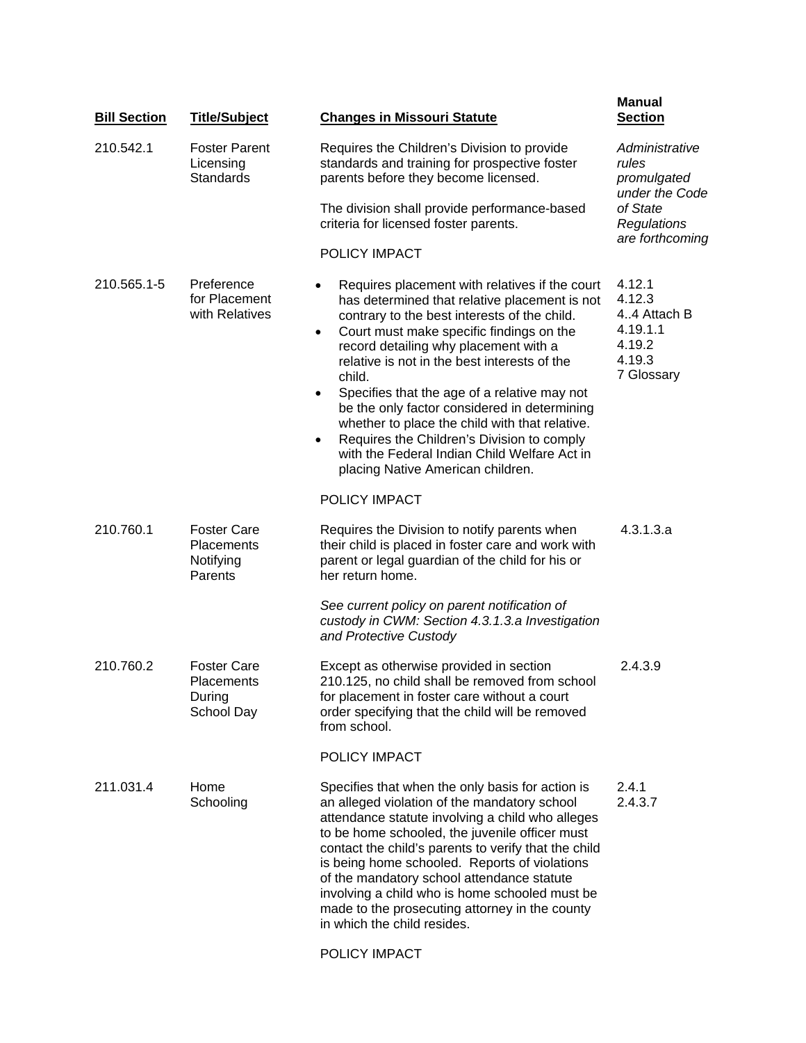| <b>Bill Section</b> | <b>Title/Subject</b>                                            | <b>Changes in Missouri Statute</b>                                                                                                                                                                                                                                                                                                                                                                                                                                                                                                                                                       | <b>Manual</b><br><b>Section</b>                                                     |
|---------------------|-----------------------------------------------------------------|------------------------------------------------------------------------------------------------------------------------------------------------------------------------------------------------------------------------------------------------------------------------------------------------------------------------------------------------------------------------------------------------------------------------------------------------------------------------------------------------------------------------------------------------------------------------------------------|-------------------------------------------------------------------------------------|
| 210.542.1           | <b>Foster Parent</b><br>Licensing<br><b>Standards</b>           | Requires the Children's Division to provide<br>standards and training for prospective foster<br>parents before they become licensed.                                                                                                                                                                                                                                                                                                                                                                                                                                                     | Administrative<br>rules<br>promulgated<br>under the Code<br>of State<br>Regulations |
|                     |                                                                 | The division shall provide performance-based<br>criteria for licensed foster parents.                                                                                                                                                                                                                                                                                                                                                                                                                                                                                                    |                                                                                     |
|                     |                                                                 | POLICY IMPACT                                                                                                                                                                                                                                                                                                                                                                                                                                                                                                                                                                            | are forthcoming                                                                     |
| 210.565.1-5         | Preference<br>for Placement<br>with Relatives                   | Requires placement with relatives if the court<br>has determined that relative placement is not<br>contrary to the best interests of the child.<br>Court must make specific findings on the<br>٠<br>record detailing why placement with a<br>relative is not in the best interests of the<br>child.<br>Specifies that the age of a relative may not<br>be the only factor considered in determining<br>whether to place the child with that relative.<br>Requires the Children's Division to comply<br>with the Federal Indian Child Welfare Act in<br>placing Native American children. | 4.12.1<br>4.12.3<br>44 Attach B<br>4.19.1.1<br>4.19.2<br>4.19.3<br>7 Glossary       |
|                     |                                                                 | POLICY IMPACT                                                                                                                                                                                                                                                                                                                                                                                                                                                                                                                                                                            |                                                                                     |
| 210.760.1           | <b>Foster Care</b><br><b>Placements</b><br>Notifying<br>Parents | Requires the Division to notify parents when<br>their child is placed in foster care and work with<br>parent or legal guardian of the child for his or<br>her return home.                                                                                                                                                                                                                                                                                                                                                                                                               | 4.3.1.3.a                                                                           |
|                     |                                                                 | See current policy on parent notification of<br>custody in CWM: Section 4.3.1.3.a Investigation<br>and Protective Custody                                                                                                                                                                                                                                                                                                                                                                                                                                                                |                                                                                     |
| 210.760.2           | <b>Foster Care</b><br>Placements<br>During<br>School Day        | Except as otherwise provided in section<br>210.125, no child shall be removed from school<br>for placement in foster care without a court<br>order specifying that the child will be removed<br>from school.                                                                                                                                                                                                                                                                                                                                                                             | 2.4.3.9                                                                             |
|                     |                                                                 | POLICY IMPACT                                                                                                                                                                                                                                                                                                                                                                                                                                                                                                                                                                            |                                                                                     |
| 211.031.4           | Home<br>Schooling                                               | Specifies that when the only basis for action is<br>an alleged violation of the mandatory school<br>attendance statute involving a child who alleges<br>to be home schooled, the juvenile officer must<br>contact the child's parents to verify that the child<br>is being home schooled. Reports of violations<br>of the mandatory school attendance statute<br>involving a child who is home schooled must be<br>made to the prosecuting attorney in the county<br>in which the child resides.                                                                                         | 2.4.1<br>2.4.3.7                                                                    |

[POLICY IMPACT](http://www.dss.mo.gov/cd/info/memos/2004/79/hs.pdf)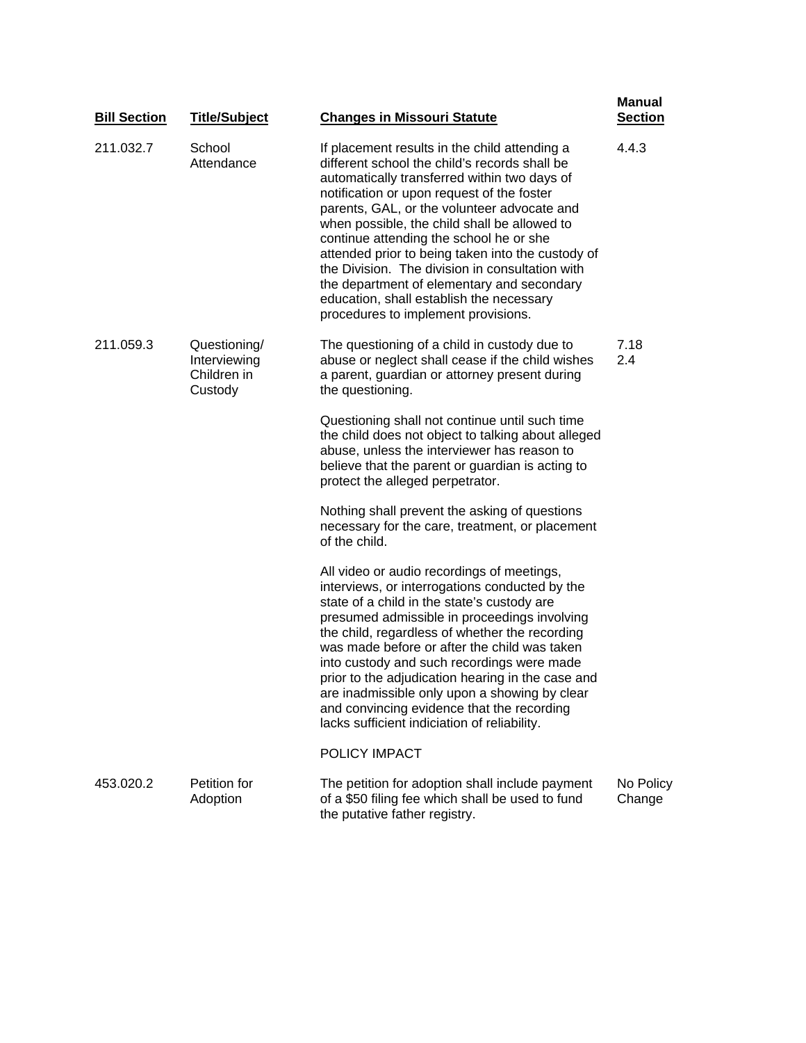| <b>Bill Section</b> | <b>Title/Subject</b>                                   | <b>Changes in Missouri Statute</b>                                                                                                                                                                                                                                                                                                                                                                                                                                                                                                                                              | <b>Manual</b><br><b>Section</b> |
|---------------------|--------------------------------------------------------|---------------------------------------------------------------------------------------------------------------------------------------------------------------------------------------------------------------------------------------------------------------------------------------------------------------------------------------------------------------------------------------------------------------------------------------------------------------------------------------------------------------------------------------------------------------------------------|---------------------------------|
| 211.032.7           | School<br>Attendance                                   | If placement results in the child attending a<br>different school the child's records shall be<br>automatically transferred within two days of<br>notification or upon request of the foster<br>parents, GAL, or the volunteer advocate and<br>when possible, the child shall be allowed to<br>continue attending the school he or she<br>attended prior to being taken into the custody of<br>the Division. The division in consultation with<br>the department of elementary and secondary<br>education, shall establish the necessary<br>procedures to implement provisions. | 4.4.3                           |
| 211.059.3           | Questioning/<br>Interviewing<br>Children in<br>Custody | The questioning of a child in custody due to<br>abuse or neglect shall cease if the child wishes<br>a parent, guardian or attorney present during<br>the questioning.                                                                                                                                                                                                                                                                                                                                                                                                           | 7.18<br>2.4                     |
|                     |                                                        | Questioning shall not continue until such time<br>the child does not object to talking about alleged<br>abuse, unless the interviewer has reason to<br>believe that the parent or guardian is acting to<br>protect the alleged perpetrator.                                                                                                                                                                                                                                                                                                                                     |                                 |
|                     |                                                        | Nothing shall prevent the asking of questions<br>necessary for the care, treatment, or placement<br>of the child.                                                                                                                                                                                                                                                                                                                                                                                                                                                               |                                 |
|                     |                                                        | All video or audio recordings of meetings,<br>interviews, or interrogations conducted by the<br>state of a child in the state's custody are<br>presumed admissible in proceedings involving<br>the child, regardless of whether the recording<br>was made before or after the child was taken<br>into custody and such recordings were made<br>prior to the adjudication hearing in the case and<br>are inadmissible only upon a showing by clear<br>and convincing evidence that the recording<br>lacks sufficient indiciation of reliability.                                 |                                 |
|                     |                                                        | POLICY IMPACT                                                                                                                                                                                                                                                                                                                                                                                                                                                                                                                                                                   |                                 |
| 453.020.2           | Petition for<br>Adoption                               | The petition for adoption shall include payment<br>of a \$50 filing fee which shall be used to fund<br>the putative father registry.                                                                                                                                                                                                                                                                                                                                                                                                                                            | No Policy<br>Change             |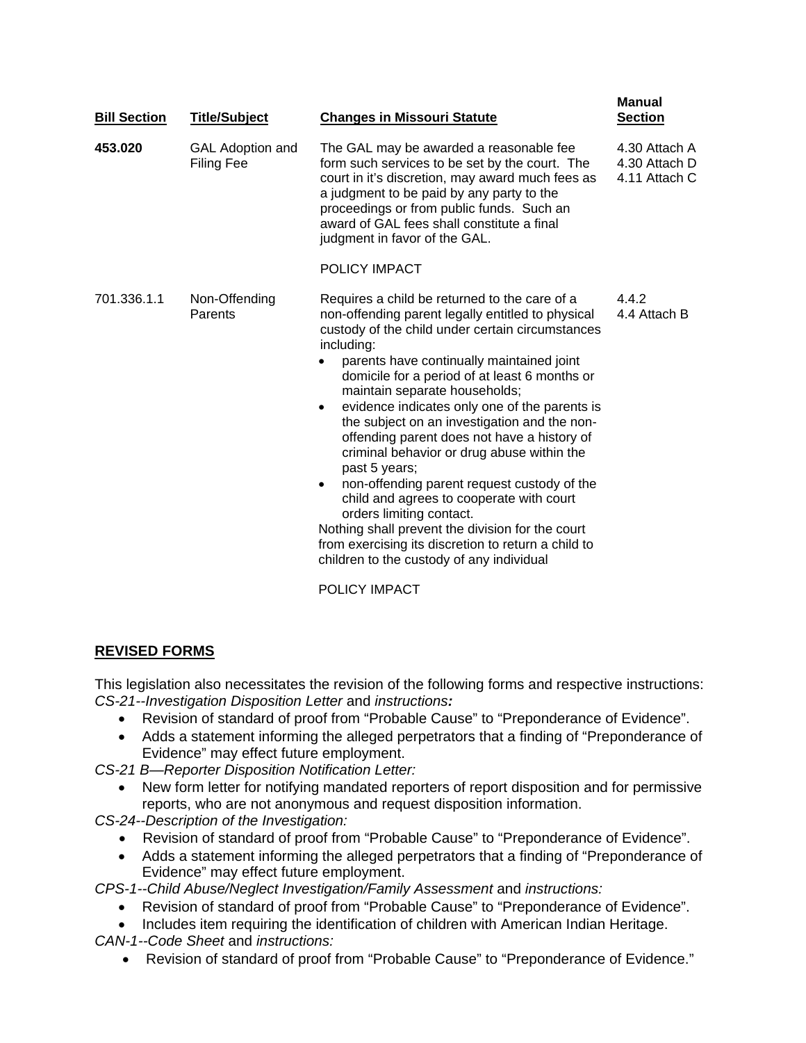| <b>Bill Section</b> | <b>Title/Subject</b>                  | <b>Changes in Missouri Statute</b>                                                                                                                                                                                                                                                                                                                                                                                                                                                                                                                                                                                                                                                                                                                                                                                                       | <b>Manual</b><br><b>Section</b>                 |
|---------------------|---------------------------------------|------------------------------------------------------------------------------------------------------------------------------------------------------------------------------------------------------------------------------------------------------------------------------------------------------------------------------------------------------------------------------------------------------------------------------------------------------------------------------------------------------------------------------------------------------------------------------------------------------------------------------------------------------------------------------------------------------------------------------------------------------------------------------------------------------------------------------------------|-------------------------------------------------|
| 453.020             | <b>GAL Adoption and</b><br>Filing Fee | The GAL may be awarded a reasonable fee<br>form such services to be set by the court. The<br>court in it's discretion, may award much fees as<br>a judgment to be paid by any party to the<br>proceedings or from public funds. Such an<br>award of GAL fees shall constitute a final<br>judgment in favor of the GAL.                                                                                                                                                                                                                                                                                                                                                                                                                                                                                                                   | 4.30 Attach A<br>4.30 Attach D<br>4.11 Attach C |
|                     |                                       | POLICY IMPACT                                                                                                                                                                                                                                                                                                                                                                                                                                                                                                                                                                                                                                                                                                                                                                                                                            |                                                 |
| 701.336.1.1         | Non-Offending<br>Parents              | Requires a child be returned to the care of a<br>non-offending parent legally entitled to physical<br>custody of the child under certain circumstances<br>including:<br>parents have continually maintained joint<br>$\bullet$<br>domicile for a period of at least 6 months or<br>maintain separate households;<br>evidence indicates only one of the parents is<br>$\bullet$<br>the subject on an investigation and the non-<br>offending parent does not have a history of<br>criminal behavior or drug abuse within the<br>past 5 years;<br>non-offending parent request custody of the<br>$\bullet$<br>child and agrees to cooperate with court<br>orders limiting contact.<br>Nothing shall prevent the division for the court<br>from exercising its discretion to return a child to<br>children to the custody of any individual | 4.4.2<br>4.4 Attach B                           |
|                     |                                       | POLICY IMPACT                                                                                                                                                                                                                                                                                                                                                                                                                                                                                                                                                                                                                                                                                                                                                                                                                            |                                                 |

# **REVISED FORMS**

This legislation also necessitates the revision of the following forms and respective instructions: *[CS-21--Investigation Disposition Letter](http://www.oa.mo.gov/gs/form/oneforms/so1762v.exe)* and *instructions:*

- Revision of standard of proof from "Probable Cause" to "Preponderance of Evidence".
- Adds a statement informing the alleged perpetrators that a finding of "Preponderance of Evidence" may effect future employment.
- *[CS-21 B—Reporter Disposition Notification Letter:](http://www.dss.mo.gov/cd/info/forms/cs-21b.pdf)* 
	- New form letter for notifying mandated reporters of report disposition and for permissive reports, who are not anonymous and request disposition information.

*[CS-24--Description of the Investigation:](http://www.oa.mo.gov/gs/form/oneforms/cs24.exe)* 

- Revision of standard of proof from "Probable Cause" to "Preponderance of Evidence".
- Adds a statement informing the alleged perpetrators that a finding of "Preponderance of Evidence" may effect future employment.

*[CPS-1--Child Abuse/Neglect Investigation/Family Assessment](http://www.oa.mo.gov/gs/form/oneforms/so4043v.exe)* and *instructions:* 

- Revision of standard of proof from "Probable Cause" to "Preponderance of Evidence".
- Includes item requiring the identification of children with American Indian Heritage.
- *[CAN-1--Code Sheet](http://www.dss.mo.gov/cd/info/forms/codesheets/can1.pdf)* and *[instructions:](http://www.dss.mo.gov/cd/info/forms/forminstructions/can1_instructions.pdf)*
	- Revision of standard of proof from "Probable Cause" to "Preponderance of Evidence."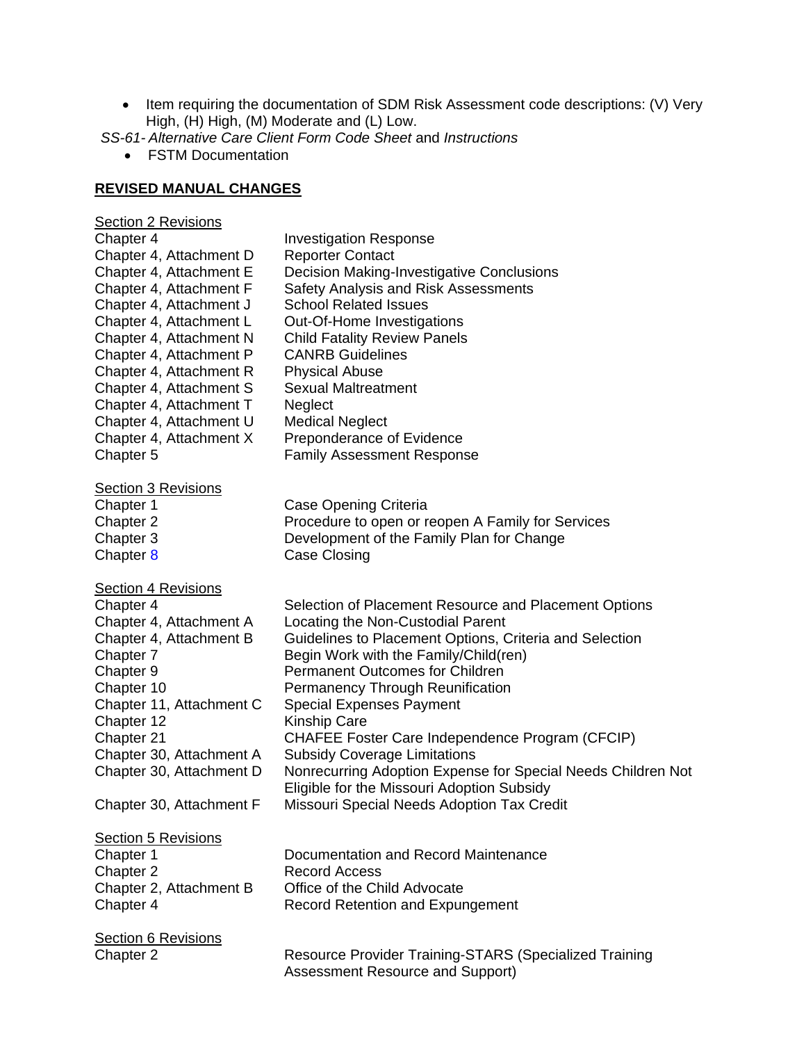• Item requiring the documentation of SDM Risk Assessment code descriptions: (V) Very High, (H) High, (M) Moderate and (L) Low.

*SS-61- [Alternative Care Client Form Code Sheet](http://www.dss.mo.gov/cd/info/forms/codesheets/ss-61codesheet.pdf)* and *[Instructions](http://www.dss.mo.gov/cd/info/forms/forminstructions/ss61ins.pdf)* 

• FSTM Documentation

# **REVISED MANUAL CHANGES**

| <b>Section 2 Revisions</b><br>Chapter 4<br>Chapter 4, Attachment D<br>Chapter 4, Attachment E<br>Chapter 4, Attachment F<br>Chapter 4, Attachment J<br>Chapter 4, Attachment L<br>Chapter 4, Attachment N<br>Chapter 4, Attachment P<br>Chapter 4, Attachment R<br>Chapter 4, Attachment S<br>Chapter 4, Attachment T<br>Chapter 4, Attachment U<br>Chapter 4, Attachment X<br>Chapter 5 | <b>Investigation Response</b><br><b>Reporter Contact</b><br><b>Decision Making-Investigative Conclusions</b><br>Safety Analysis and Risk Assessments<br><b>School Related Issues</b><br>Out-Of-Home Investigations<br><b>Child Fatality Review Panels</b><br><b>CANRB Guidelines</b><br><b>Physical Abuse</b><br><b>Sexual Maltreatment</b><br>Neglect<br><b>Medical Neglect</b><br>Preponderance of Evidence<br><b>Family Assessment Response</b>                                                                                                                                    |
|------------------------------------------------------------------------------------------------------------------------------------------------------------------------------------------------------------------------------------------------------------------------------------------------------------------------------------------------------------------------------------------|---------------------------------------------------------------------------------------------------------------------------------------------------------------------------------------------------------------------------------------------------------------------------------------------------------------------------------------------------------------------------------------------------------------------------------------------------------------------------------------------------------------------------------------------------------------------------------------|
| <b>Section 3 Revisions</b><br>Chapter 1<br>Chapter 2<br>Chapter 3<br>Chapter <sub>8</sub>                                                                                                                                                                                                                                                                                                | Case Opening Criteria<br>Procedure to open or reopen A Family for Services<br>Development of the Family Plan for Change<br><b>Case Closing</b>                                                                                                                                                                                                                                                                                                                                                                                                                                        |
| <b>Section 4 Revisions</b><br>Chapter 4<br>Chapter 4, Attachment A<br>Chapter 4, Attachment B<br>Chapter 7<br>Chapter 9<br>Chapter 10<br>Chapter 11, Attachment C<br>Chapter 12<br>Chapter 21<br>Chapter 30, Attachment A<br>Chapter 30, Attachment D<br>Chapter 30, Attachment F                                                                                                        | Selection of Placement Resource and Placement Options<br>Locating the Non-Custodial Parent<br>Guidelines to Placement Options, Criteria and Selection<br>Begin Work with the Family/Child(ren)<br><b>Permanent Outcomes for Children</b><br>Permanency Through Reunification<br><b>Special Expenses Payment</b><br>Kinship Care<br>CHAFEE Foster Care Independence Program (CFCIP)<br><b>Subsidy Coverage Limitations</b><br>Nonrecurring Adoption Expense for Special Needs Children Not<br>Eligible for the Missouri Adoption Subsidy<br>Missouri Special Needs Adoption Tax Credit |
| <b>Section 5 Revisions</b><br>Chapter 1<br>Chapter 2<br>Chapter 2, Attachment B<br>Chapter 4                                                                                                                                                                                                                                                                                             | Documentation and Record Maintenance<br><b>Record Access</b><br>Office of the Child Advocate<br><b>Record Retention and Expungement</b>                                                                                                                                                                                                                                                                                                                                                                                                                                               |
| <b>Section 6 Revisions</b><br>Chapter 2                                                                                                                                                                                                                                                                                                                                                  | Resource Provider Training-STARS (Specialized Training<br><b>Assessment Resource and Support)</b>                                                                                                                                                                                                                                                                                                                                                                                                                                                                                     |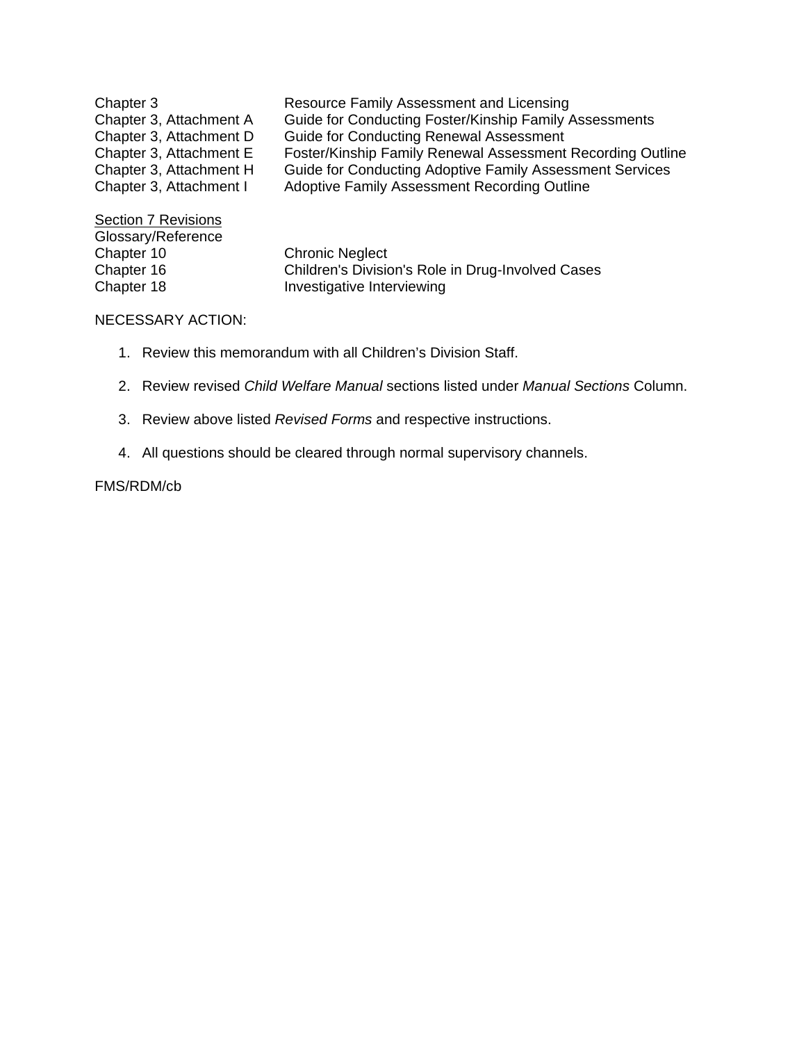| Chapter 3               | Resource Family Assessment and Licensing                   |
|-------------------------|------------------------------------------------------------|
| Chapter 3, Attachment A | Guide for Conducting Foster/Kinship Family Assessments     |
| Chapter 3, Attachment D | <b>Guide for Conducting Renewal Assessment</b>             |
| Chapter 3, Attachment E | Foster/Kinship Family Renewal Assessment Recording Outline |
| Chapter 3, Attachment H | Guide for Conducting Adoptive Family Assessment Services   |
| Chapter 3, Attachment I | Adoptive Family Assessment Recording Outline               |
| Section 7 Revisions     |                                                            |
| Glossary/Reference      |                                                            |
| Chapter 10              | <b>Chronic Neglect</b>                                     |
| Chapter 16              | Children's Division's Role in Drug-Involved Cases          |
| Chapter 18              | Investigative Interviewing                                 |

### NECESSARY ACTION:

- 1. Review this memorandum with all Children's Division Staff.
- 2. Review revised *Child Welfare Manual* sections listed under *Manual Sections* Column.
- 3. Review above listed *Revised Forms* and respective instructions.
- 4. All questions should be cleared through normal supervisory channels.

## FMS/RDM/cb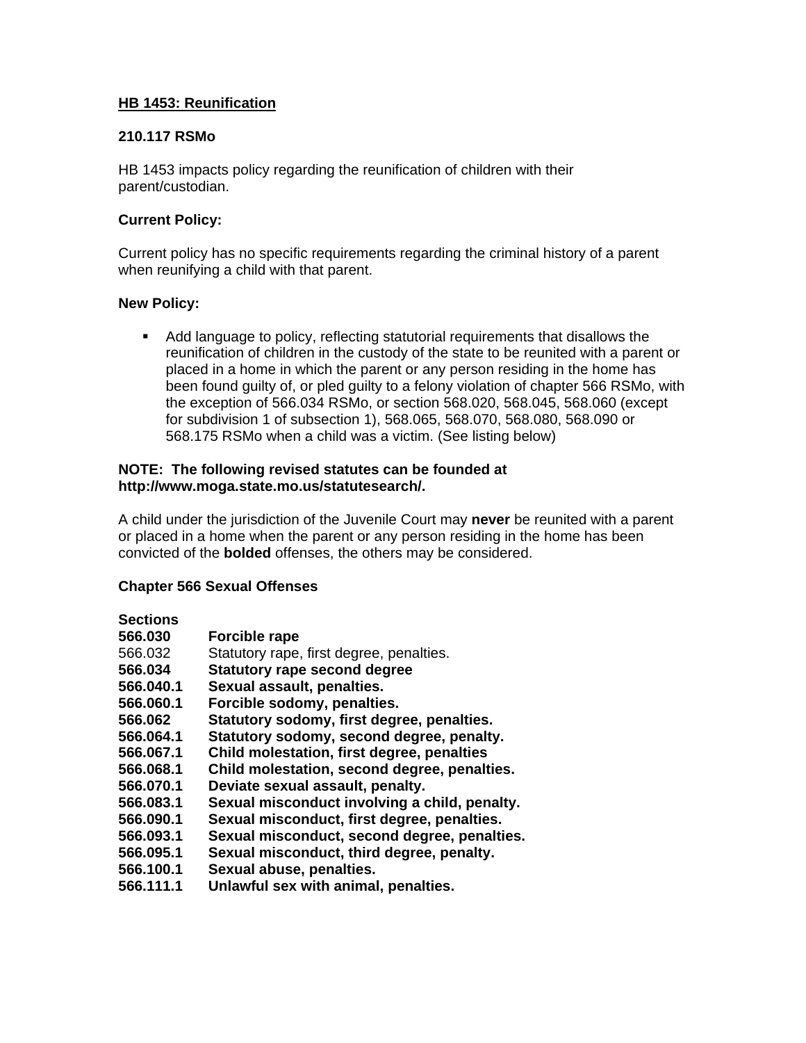## **HB 1453: Reunification**

## **210.117 RSMo**

HB 1453 impacts policy regarding the reunification of children with their parent/custodian.

## **Current Policy:**

Current policy has no specific requirements regarding the criminal history of a parent when reunifying a child with that parent.

#### **New Policy:**

 Add language to policy, reflecting statutorial requirements that disallows the reunification of children in the custody of the state to be reunited with a parent or placed in a home in which the parent or any person residing in the home has been found guilty of, or pled guilty to a felony violation of chapter 566 RSMo, with the exception of 566.034 RSMo, or section 568.020, 568.045, 568.060 (except for subdivision 1 of subsection 1), 568.065, 568.070, 568.080, 568.090 or 568.175 RSMo when a child was a victim. (See listing below)

#### **NOTE: The following revised statutes can be founded at [http://www.moga.state.mo.us/statutesearch/.](http://www.moga.state.mo.us/statutesearch/)**

A child under the jurisdiction of the Juvenile Court may **never** be reunited with a parent or placed in a home when the parent or any person residing in the home has been convicted of the **bolded** offenses, the others may be considered.

## **Chapter 566 Sexual Offenses**

#### **Sections**

| 566.030   | <b>Forcible rape</b>                          |
|-----------|-----------------------------------------------|
| 566.032   | Statutory rape, first degree, penalties.      |
| 566.034   | <b>Statutory rape second degree</b>           |
| 566.040.1 | Sexual assault, penalties.                    |
| 566.060.1 | Forcible sodomy, penalties.                   |
| 566.062   | Statutory sodomy, first degree, penalties.    |
| 566.064.1 | Statutory sodomy, second degree, penalty.     |
| 566.067.1 | Child molestation, first degree, penalties    |
| 566.068.1 | Child molestation, second degree, penalties.  |
| 566.070.1 | Deviate sexual assault, penalty.              |
| 566.083.1 | Sexual misconduct involving a child, penalty. |
| 566.090.1 | Sexual misconduct, first degree, penalties.   |
| 566.093.1 | Sexual misconduct, second degree, penalties.  |
| 566.095.1 | Sexual misconduct, third degree, penalty.     |
| 566.100.1 | Sexual abuse, penalties.                      |
| 566.111.1 | Unlawful sex with animal, penalties.          |
|           |                                               |